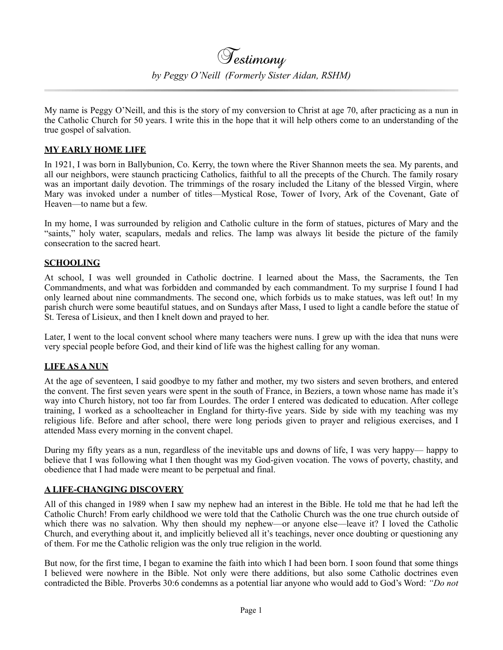My name is Peggy O'Neill, and this is the story of my conversion to Christ at age 70, after practicing as a nun in the Catholic Church for 50 years. I write this in the hope that it will help others come to an understanding of the true gospel of salvation.

## **MY EARLY HOME LIFE**

In 1921, I was born in Ballybunion, Co. Kerry, the town where the River Shannon meets the sea. My parents, and all our neighbors, were staunch practicing Catholics, faithful to all the precepts of the Church. The family rosary was an important daily devotion. The trimmings of the rosary included the Litany of the blessed Virgin, where Mary was invoked under a number of titles—Mystical Rose, Tower of Ivory, Ark of the Covenant, Gate of Heaven—to name but a few.

In my home, I was surrounded by religion and Catholic culture in the form of statues, pictures of Mary and the "saints," holy water, scapulars, medals and relics. The lamp was always lit beside the picture of the family consecration to the sacred heart.

### **SCHOOLING**

At school, I was well grounded in Catholic doctrine. I learned about the Mass, the Sacraments, the Ten Commandments, and what was forbidden and commanded by each commandment. To my surprise I found I had only learned about nine commandments. The second one, which forbids us to make statues, was left out! In my parish church were some beautiful statues, and on Sundays after Mass, I used to light a candle before the statue of St. Teresa of Lisieux, and then I knelt down and prayed to her.

Later, I went to the local convent school where many teachers were nuns. I grew up with the idea that nuns were very special people before God, and their kind of life was the highest calling for any woman.

### **LIFE AS A NUN**

At the age of seventeen, I said goodbye to my father and mother, my two sisters and seven brothers, and entered the convent. The first seven years were spent in the south of France, in Beziers, a town whose name has made it's way into Church history, not too far from Lourdes. The order I entered was dedicated to education. After college training, I worked as a schoolteacher in England for thirty-five years. Side by side with my teaching was my religious life. Before and after school, there were long periods given to prayer and religious exercises, and I attended Mass every morning in the convent chapel.

During my fifty years as a nun, regardless of the inevitable ups and downs of life, I was very happy— happy to believe that I was following what I then thought was my God-given vocation. The vows of poverty, chastity, and obedience that I had made were meant to be perpetual and final.

### **A LIFE-CHANGING DISCOVERY**

All of this changed in 1989 when I saw my nephew had an interest in the Bible. He told me that he had left the Catholic Church! From early childhood we were told that the Catholic Church was the one true church outside of which there was no salvation. Why then should my nephew—or anyone else—leave it? I loved the Catholic Church, and everything about it, and implicitly believed all it's teachings, never once doubting or questioning any of them. For me the Catholic religion was the only true religion in the world.

But now, for the first time, I began to examine the faith into which I had been born. I soon found that some things I believed were nowhere in the Bible. Not only were there additions, but also some Catholic doctrines even contradicted the Bible. Proverbs 30:6 condemns as a potential liar anyone who would add to God's Word: *"Do not*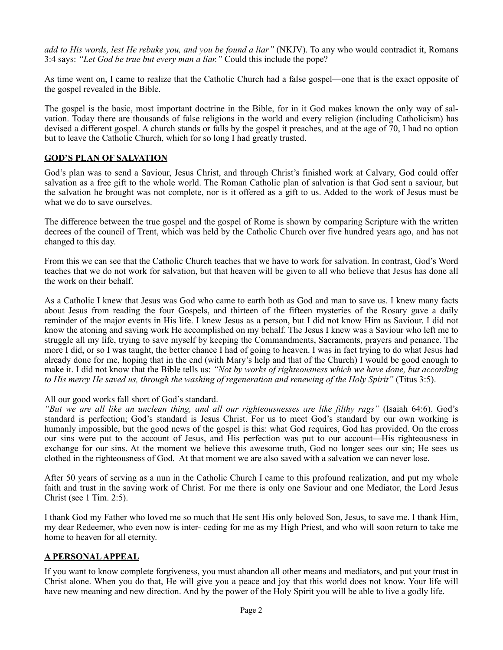*add to His words, lest He rebuke you, and you be found a liar"* (NKJV). To any who would contradict it, Romans 3:4 says: *"Let God be true but every man a liar."* Could this include the pope?

As time went on, I came to realize that the Catholic Church had a false gospel—one that is the exact opposite of the gospel revealed in the Bible.

The gospel is the basic, most important doctrine in the Bible, for in it God makes known the only way of salvation. Today there are thousands of false religions in the world and every religion (including Catholicism) has devised a different gospel. A church stands or falls by the gospel it preaches, and at the age of 70, I had no option but to leave the Catholic Church, which for so long I had greatly trusted.

# **GOD'S PLAN OF SALVATION**

God's plan was to send a Saviour, Jesus Christ, and through Christ's finished work at Calvary, God could offer salvation as a free gift to the whole world. The Roman Catholic plan of salvation is that God sent a saviour, but the salvation he brought was not complete, nor is it offered as a gift to us. Added to the work of Jesus must be what we do to save ourselves.

The difference between the true gospel and the gospel of Rome is shown by comparing Scripture with the written decrees of the council of Trent, which was held by the Catholic Church over five hundred years ago, and has not changed to this day.

From this we can see that the Catholic Church teaches that we have to work for salvation. In contrast, God's Word teaches that we do not work for salvation, but that heaven will be given to all who believe that Jesus has done all the work on their behalf.

As a Catholic I knew that Jesus was God who came to earth both as God and man to save us. I knew many facts about Jesus from reading the four Gospels, and thirteen of the fifteen mysteries of the Rosary gave a daily reminder of the major events in His life. I knew Jesus as a person, but I did not know Him as Saviour. I did not know the atoning and saving work He accomplished on my behalf. The Jesus I knew was a Saviour who left me to struggle all my life, trying to save myself by keeping the Commandments, Sacraments, prayers and penance. The more I did, or so I was taught, the better chance I had of going to heaven. I was in fact trying to do what Jesus had already done for me, hoping that in the end (with Mary's help and that of the Church) I would be good enough to make it. I did not know that the Bible tells us: *"Not by works of righteousness which we have done, but according to His mercy He saved us, through the washing of regeneration and renewing of the Holy Spirit"* (Titus 3:5).

### All our good works fall short of God's standard.

*"But we are all like an unclean thing, and all our righteousnesses are like filthy rags"* (Isaiah 64:6). God's standard is perfection; God's standard is Jesus Christ. For us to meet God's standard by our own working is humanly impossible, but the good news of the gospel is this: what God requires, God has provided. On the cross our sins were put to the account of Jesus, and His perfection was put to our account—His righteousness in exchange for our sins. At the moment we believe this awesome truth, God no longer sees our sin; He sees us clothed in the righteousness of God. At that moment we are also saved with a salvation we can never lose.

After 50 years of serving as a nun in the Catholic Church I came to this profound realization, and put my whole faith and trust in the saving work of Christ. For me there is only one Saviour and one Mediator, the Lord Jesus Christ (see 1 Tim. 2:5).

I thank God my Father who loved me so much that He sent His only beloved Son, Jesus, to save me. I thank Him, my dear Redeemer, who even now is inter- ceding for me as my High Priest, and who will soon return to take me home to heaven for all eternity.

### **A PERSONAL APPEAL**

If you want to know complete forgiveness, you must abandon all other means and mediators, and put your trust in Christ alone. When you do that, He will give you a peace and joy that this world does not know. Your life will have new meaning and new direction. And by the power of the Holy Spirit you will be able to live a godly life.